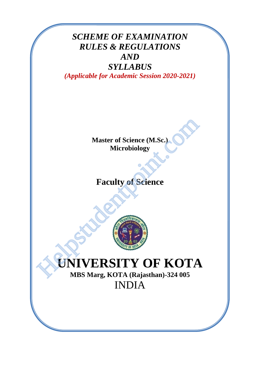# *SCHEME OF EXAMINATION RULES & REGULATIONS AND*

# *SYLLABUS*

*(Applicable for Academic Session 2020-2021)*

**Master of Science (M.Sc.) Microbiology**

# **Faculty of Science**



# **UNIVERSITY OF KOTA** Master of Science (M.Sc.)<br>Microbiology<br>Faculty of Science<br>NAMES SATE ROTA<br>MBS Marg, KOTA (Rajasthan)-324 005

**MBS Marg, KOTA (Rajasthan)-324 005** INDIA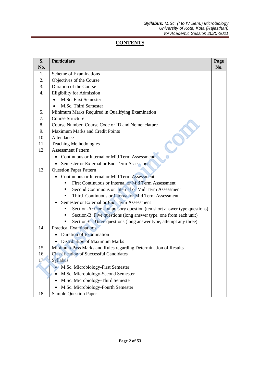# **CONTENTS**

| S.               | <b>Particulars</b>                                                    | Page |
|------------------|-----------------------------------------------------------------------|------|
| No.              |                                                                       | No.  |
| 1.               | Scheme of Examinations                                                |      |
| 2.               | Objectives of the Course                                              |      |
| 3.               | Duration of the Course                                                |      |
| $\overline{4}$ . | <b>Eligibility for Admission</b>                                      |      |
|                  | M.Sc. First Semester<br>$\bullet$                                     |      |
|                  | M.Sc. Third Semester<br>$\bullet$                                     |      |
| 5.               | Minimum Marks Required in Qualifying Examination                      |      |
| 7.               | <b>Course Structure</b>                                               |      |
| 8.               | Course Number, Course Code or ID and Nomenclature                     |      |
| 9.               | <b>Maximum Marks and Credit Points</b>                                |      |
| 10.              | Attendance                                                            |      |
| 11.              | <b>Teaching Methodologies</b>                                         |      |
| 12.              | <b>Assessment Pattern</b>                                             |      |
|                  | Continuous or Internal or Mid Term Assessment                         |      |
|                  | Semester or External or End Term Assessment                           |      |
| 13.              | <b>Question Paper Pattern</b>                                         |      |
|                  | Continuous or Internal or Mid Term Assessment                         |      |
|                  | First Continuous or Internal or Mid Term Assessment<br>$\blacksquare$ |      |
|                  | Second Continuous or Internal or Mid Term Assessment                  |      |
|                  | Third Continuous or Internal or Mid Term Assessment                   |      |
|                  | Semester or External or End Term Assessment                           |      |
|                  | Section-A: One compulsory question (ten short answer type questions)  |      |
|                  | Section-B: Five questions (long answer type, one from each unit)<br>٠ |      |
|                  | Section-C: Three questions (long answer type, attempt any three)      |      |
| 14.              | <b>Practical Examinations</b>                                         |      |
|                  | Duration of Examination                                               |      |
|                  | Distribution of Maximum Marks                                         |      |
| 15.              | Minimum Pass Marks and Rules regarding Determination of Results       |      |
| 16.              | <b>Classification of Successful Candidates</b>                        |      |
| 17.              | Syllabus                                                              |      |
|                  | M.Sc. Microbiology-First Semester                                     |      |
|                  | M.Sc. Microbiology-Second Semester                                    |      |
|                  | M.Sc. Microbiology-Third Semester                                     |      |
|                  | M.Sc. Microbiology-Fourth Semester                                    |      |
| 18.              | <b>Sample Question Paper</b>                                          |      |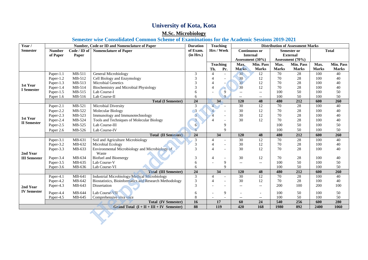# **University of Kota, Kota**

# **M.Sc. Microbiology**

### **Semester wise Consolidated Common Scheme of Examinations for the Academic Sessions 2019-2021**

| Year /              | Number, Code or ID and Nomenclature of Paper |              |                                                        | <b>Duration</b> | <b>Teaching</b>          |                          | <b>Distribution of Assessment Marks</b> |                          |                 |                  |              |              |
|---------------------|----------------------------------------------|--------------|--------------------------------------------------------|-----------------|--------------------------|--------------------------|-----------------------------------------|--------------------------|-----------------|------------------|--------------|--------------|
| <b>Semester</b>     | <b>Number</b>                                | Code / ID of | <b>Nomenclature of Paper</b>                           | of Exam.        | Hrs / Week               |                          | <b>Continuous or</b>                    |                          | Semester or     |                  | <b>Total</b> |              |
|                     | of Paper                                     | Paper        |                                                        | (in Hrs.)       |                          |                          | <b>Internal</b>                         |                          | <b>External</b> |                  |              |              |
|                     |                                              |              |                                                        |                 |                          |                          |                                         | Assessment (30%)         |                 | Assessment (70%) |              |              |
|                     |                                              |              |                                                        |                 | <b>Teaching</b>          |                          | Max.                                    | Min. Pass                | Max.            | Min. Pass        | Max.         | Min. Pass    |
|                     |                                              |              |                                                        |                 | Th.                      | Pr.                      | <b>Marks</b>                            | <b>Marks</b>             | <b>Marks</b>    | <b>Marks</b>     | <b>Marks</b> | <b>Marks</b> |
|                     | Paper-1.1                                    | MB-511       | General Microbiology                                   | 3               | $\overline{\mathcal{A}}$ | $\sim$                   | 30                                      | 12                       | 70              | 28               | 100          | 40           |
|                     | Paper-1.2                                    | MB-512       | Cell Biology and Enzymology                            | 3               | $\overline{4}$           |                          | 30                                      | 12                       | 70              | 28               | 100          | 40           |
| 1st Year            | Paper-1.3                                    | MB-513       | <b>Microbial Genetics</b>                              | 3               | $\overline{4}$           |                          | 30                                      | 12                       | 70              | 28               | 100          | 40           |
| <b>I</b> Semester   | Paper-1.4                                    | MB-514       | Biochemistry and Microbial Physiology                  | 3               | $\overline{4}$           |                          | 30                                      | 12                       | 70              | 28               | 100          | 40           |
|                     | Paper-1.5                                    | MB-515       | Lab Course-I                                           | 6               |                          | $\overline{9}$           | $\overline{\phantom{a}}$                | $\overline{\phantom{a}}$ | 100             | 50               | 100          | 50           |
|                     | Paper 1.6                                    | MB-516       | Lab Course-II                                          | 6               |                          | $\mathbf{Q}$             | $-$                                     | $\qquad \qquad -$        | 100             | 50               | 100          | 50           |
|                     |                                              |              | <b>Total (I Semester)</b>                              | 24              | 34                       |                          | 120                                     | 48                       | 480             | $\overline{212}$ | 600          | 260          |
|                     | Paper-2.1                                    | MB-521       | Microbial Diversity                                    | 3               | $\overline{4}$           |                          | 30                                      | $\overline{12}$          | $\overline{70}$ | $\overline{28}$  | 100          | 40           |
|                     | Paper-2.2                                    | MB-522       | <b>Molecular Biology</b>                               | $\overline{3}$  |                          |                          | 30                                      | 12                       | 70              | $28\,$           | 100          | 40           |
| 1st Year            | Paper-2.3                                    | MB-523       | Immunology and Immunotechnology                        | $\overline{3}$  |                          |                          | 30                                      | 12                       | 70              | 28               | 100          | 40           |
| <b>II</b> Semester  | Paper-2.4                                    | MB-524       | Tools and Techniques of Molecular Biology              | 3               | $\overline{4}$           | $\overline{\phantom{a}}$ | 30                                      | 12                       | 70              | 28               | 100          | 40           |
|                     | Paper-2.5                                    | MB-525       | Lab Course-III                                         | 6               |                          | 9                        |                                         |                          | 100             | 50               | 100          | 50           |
|                     | Paper 2.6                                    | MB-526       | Lab Course-IV                                          | 6               |                          | $\mathbf Q$              |                                         |                          | 100             | 50               | 100          | 50           |
|                     |                                              |              | <b>Total (II Semester)</b>                             | 24              | 34                       |                          | 120                                     | 48                       | 480             | 212              | 600          | 260          |
|                     | Paper-3.1                                    | MB-631       | Soil and Agriculture Microbiology                      | $\mathfrak{Z}$  | $\overline{4}$           |                          | 30                                      | 12                       | 70              | 28               | 100          | 40           |
|                     | Paper-3.2                                    | MB-632       | Microbial Ecology                                      | 3               | $\overline{4}$           | $\sim$                   | 30                                      | 12                       | 70              | 28               | 100          | 40           |
|                     | Paper-3.3                                    | MB-633       | Environmental Microbiology and Microbiology of         | 3               | $\overline{4}$           | $\sim$                   | 30                                      | 12                       | 70              | 28               | 100          | 40           |
| 2nd Year            |                                              |              | Waste                                                  |                 |                          |                          |                                         |                          |                 |                  |              |              |
| <b>III</b> Semester | Paper-3.4                                    | MB-634       | <b>Biofuel and Bioenergy</b>                           | 3               | $\overline{4}$           | $\overline{\phantom{a}}$ | 30                                      | 12                       | 70              | 28               | 100          | 40           |
|                     | Paper-3.5                                    | MB-635       | Lab Course-V                                           | 6               |                          | 9                        | $\overline{\phantom{a}}$                | $\overline{\phantom{a}}$ | 100             | 50               | 100          | 50           |
|                     | Paper-3.6                                    | MB-636       | Lab Course-VI                                          | 6               |                          | $\mathbf Q$              |                                         |                          | 100             | 50               | 100          | 50           |
|                     |                                              |              | <b>Total (III Semester)</b>                            | $\overline{24}$ | 34                       |                          | 120                                     | 48                       | 480             | 212              | 600          | 260          |
|                     | Paper-4.1                                    | MB-641       | Industrial Microbiology/Medical Microbiology           | 3               | $\overline{4}$           |                          | 30                                      | 12                       | 70              | 28               | 100          | 40           |
|                     | Paper-4.2                                    | MB-642       | Biostatistics, Bioinformatics and Research Methodology | 3               | $\overline{A}$           |                          | 30                                      | 12                       | 70              | 28               | 100          | 40           |
| 2nd Year            | Paper-4.3                                    | MB-643       | Dissertation                                           | 3               |                          | $\overline{\phantom{a}}$ | $\overline{\phantom{m}}$                | $\overline{\phantom{a}}$ | 200             | 100              | 200          | 100          |
| <b>IV Semester</b>  | Paper-4.4                                    | MB-644       | Lab Course-VII                                         | 6               |                          | 9                        | $\overline{\phantom{a}}$                | $\overline{\phantom{a}}$ | 100             | 50               | 100          | 50           |
|                     | Paper-4.5                                    | MB-645       | Comprehensive viva voce                                | 8               |                          |                          | $-\,-$                                  | $\overline{\phantom{m}}$ | 100             | 50               | 100          | 50           |
|                     |                                              |              | <b>Total (IV Semester)</b>                             | 16              | 17                       |                          | 60                                      | 24                       | 540             | 256              | 600          | 280          |
|                     |                                              |              | Grand Total $(I + II + III + IV$ Semester)             | 88              | 119                      |                          | 420                                     | 168                      | 1980            | 892              | 2400         | 1060         |
|                     |                                              |              |                                                        |                 |                          |                          |                                         |                          |                 |                  |              |              |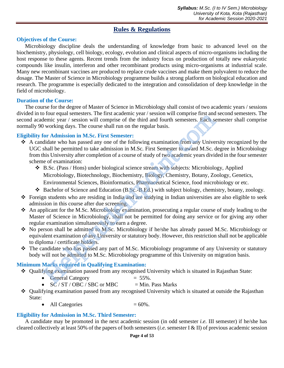# **Rules & Regulations**

# **Objectives of the Course:**

Microbiology discipline deals the understanding of knowledge from basic to advanced level on the biochemistry, physiology, cell biology, ecology, evolution and clinical aspects of micro-organisms including the host response to these agents. Recent trends from the industry focus on production of totally new eukaryotic compounds like insulin, interferon and other recombinant products using micro-organisms at industrial scale. Many new recombinant vaccines are produced to replace crude vaccines and make them polyvalent to reduce the dosage. The Master of Science in Microbiology programme builds a strong platform on biological education and research. The programme is especially dedicated to the integration and consolidation of deep knowledge in the field of microbiology.

### **Duration of the Course:**

The course for the degree of Master of Science in Microbiology shall consist of two academic years / sessions divided in to four equal semesters. The first academic year / session will comprise first and second semesters. The second academic year / session will comprise of the third and fourth semesters. Each semester shall comprise normally 90 working days. The course shall run on the regular basis.

# **Eligibility for Admission in M.Sc. First Semester:**

- ❖ A candidate who has passed any one of the following examination from any University recognized by the UGC shall be permitted to take admission in M.Sc. First Semester to award M.Sc. degree in Microbiology from this University after completion of a course of study of two academic years divided in the four semester scheme of examination: of our quantisets. It installed to the first achievable that any observed the correlation of point equal sension will comprise of the third and fourth sensesters. Each so overking days. The course shall run on the regular
	- ❖ B.Sc. (Pass / Hons) under biological science stream with subjects: Microbiology, Applied Microbiology, Biotechnology, Biochemistry, Biology, Chemistry, Botany, Zoology, Genetics, Environmental Sciences, Bioinformatics, Pharmaceutical Science*,* food microbiology or etc.
	- ❖ Bachelor of Science and Education (B.Sc.-B.Ed.) with subject biology, chemistry, botany, zoology.
- ❖ Foreign students who are residing in India and are studying in Indian universities are also eligible to seek admission in this course after due screening.
- ❖ An applicant for the M.Sc. Microbiology examination, prosecuting a regular course of study leading to the Master of Science in Microbiology, shall not be permitted for doing any service or for giving any other regular examination simultaneously to earn a degree.
- ❖ No person shall be admitted to M.Sc. Microbiology if he/she has already passed M.Sc. Microbiology or equivalent examination of any University or statutory body. However, this restriction shall not be applicable to diploma / certificate holders.
- ❖ The candidate who has passed any part of M.Sc. Microbiology programme of any University or statutory body will not be admitted to M.Sc. Microbiology programme of this University on migration basis.

# **Minimum Marks required in Qualifying Examination:**

- ❖ Qualifying examination passed from any recognised University which is situated in Rajasthan State:
	- General Category  $= 55\%$ .
	- $SC / ST / OBC / SBC$  or MBC  $= Min$ . Pass Marks
- ❖ Qualifying examination passed from any recognised University which is situated at outside the Rajasthan State:
	- All Categories  $= 60\%$ .

# **Eligibility for Admission in M.Sc. Third Semester:**

A candidate may be promoted in the next academic session (in odd semester *i.e.* III semester) if he/she has cleared collectively at least 50% of the papers of both semesters (*i.e.* semester I & II) of previous academic session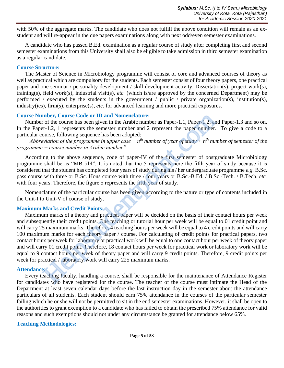with 50% of the aggregate marks. The candidate who does not fulfill the above condition will remain as an exstudent and will re-appear in the due papers examinations along with next odd/even semester examinations.

A candidate who has passed B.Ed. examination as a regular course of study after completing first and second semester examinations from this University shall also be eligible to take admission in third semester examination as a regular candidate.

### **Course Structure:**

The Master of Science in Microbiology programme will consist of core and advanced courses of theory as well as practical which are compulsory for the students. Each semester consist of four theory papers, one practical paper and one seminar / personality development / skill development activity. Dissertation(s), project work(s), training(s), field work(s), industrial visit(s), *etc.* (which is/are approved by the concerned Department) may be performed / executed by the students in the government / public / private organization(s), institution(s), industry(ies), firm(s), enterprise(s), *etc.* for advanced learning and more practical exposures.

### **Course Number, Course Code or ID and Nomenclature:**

Number of the course has been given in the Arabic number as Paper-1.1, Paper-1.2, and Paper-1.3 and so on. In the Paper-1.2, 1 represents the semester number and 2 represent the paper number. To give a code to a particular course, following sequence has been adopted:

*"Abbreviation of the programme in upper case + nth number of year of study + nth number of semester of the programme + course number in Arabic number"* 

According to the above sequence, code of paper-IV of the first semester of postgraduate Microbiology programme shall be as "MB-514". It is noted that the 5 represents here the fifth year of study because it is considered that the student has completed four years of study during his / her undergraduate programme *e.g.* B.Sc. pass course with three or B.Sc. Hons course with three / four years or B.Sc.-B.Ed. / B.Sc.-Tech. / B.Tech. *etc.* with four years. Therefore, the figure 5 represents the fifth year of study.

Nomenclature of the particular course has been given according to the nature or type of contents included in the Unit-I to Unit-V of course of study. Ì

### **Maximum Marks and Credit Points:**

Maximum marks of a theory and practical paper will be decided on the basis of their contact hours per week and subsequently their credit points. One teaching or tutorial hour per week will be equal to 01 credit point and will carry 25 maximum marks. Therefore, 4 teaching hours per week will be equal to 4 credit points and will carry 100 maximum marks for each theory paper / course. For calculating of credit points for practical papers, two contact hours per week for laboratory or practical work will be equal to one contact hour per week of theory paper and will carry 01 credit point. Therefore, 18 contact hours per week for practical work or laboratory work will be equal to 9 contact hours per week of theory paper and will carry 9 credit points. Therefore, 9 credit points per week for practical / laboratory work will carry 225 maximum marks. mber, Course Code or ID and Nomenclature:<br>
molent contes has been given in the Arabic number as Paper-1.1, Paper-1.2, are<br>
r of the course has been given in the Arabic number and 2 represent the paper number.<br>
course, fol

### **Attendance:**

Every teaching faculty, handling a course, shall be responsible for the maintenance of Attendance Register for candidates who have registered for the course. The teacher of the course must intimate the Head of the Department at least seven calendar days before the last instruction day in the semester about the attendance particulars of all students. Each student should earn 75% attendance in the courses of the particular semester failing which he or she will not be permitted to sit in the end semester examinations. However, it shall be open to the authorities to grant exemption to a candidate who has failed to obtain the prescribed 75% attendance for valid reasons and such exemptions should not under any circumstance be granted for attendance below 65%.

### **Teaching Methodologies:**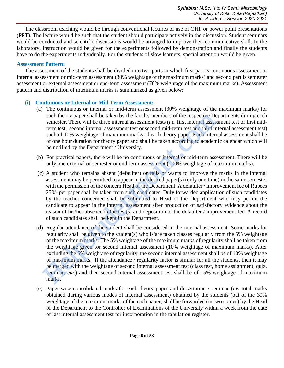The classroom teaching would be through conventional lectures or use of OHP or power point presentations (PPT). The lecture would be such that the student should participate actively in the discussion. Student seminars would be conducted and scientific discussions would be arranged to improve their communicative skill. In the laboratory, instruction would be given for the experiments followed by demonstration and finally the students have to do the experiments individually. For the students of slow learners, special attention would be given.

### **Assessment Pattern:**

The assessment of the students shall be divided into two parts in which first part is continuous assessment or internal assessment or mid-term assessment (30% weightage of the maximum marks) and second part is semester assessment or external assessment or end-term assessment (70% weightage of the maximum marks). Assessment pattern and distribution of maximum marks is summarized as given below:

# **(i) Continuous or Internal or Mid Term Assessment:**

- (a) The continuous or internal or mid-term assessment (30% weightage of the maximum marks) for each theory paper shall be taken by the faculty members of the respective Departments during each semester. There will be three internal assessment tests (*i.e.* first internal assessment test or first midterm test, second internal assessment test or second mid-term test and third internal assessment test) each of 10% weightage of maximum marks of each theory paper. Each internal assessment shall be of one hour duration for theory paper and shall be taken according to academic calendar which will be notified by the Department / University.
- (b) For practical papers, there will be no continuous or internal or mid-term assessment. There will be only one external or semester or end-term assessment (100% weightage of maximum marks).
- (c) A student who remains absent (defaulter) or fails or wants to improve the marks in the internal assessment may be permitted to appear in the desired paper(s) (only one time) in the same semester with the permission of the concern Head of the Department. A defaulter / improvement fee of Rupees 250/- per paper shall be taken from such candidates. Duly forwarded application of such candidates by the teacher concerned shall be submitted to Head of the Department who may permit the candidate to appear in the internal assessment after production of satisfactory evidence about the reason of his/her absence in the test(s) and deposition of the defaulter / improvement fee. A record of such candidates shall be kept in the Department.
- (d) Regular attendance of the student shall be considered in the internal assessment. Some marks for regularity shall be given to the student(s) who is/are taken classes regularly from the 5% weightage of the maximum marks. The 5% weightage of the maximum marks of regularity shall be taken from the weightage given for second internal assessment (10% weightage of maximum marks). After excluding the 5% weightage of regularity, the second internal assessment shall be of 10% weightage of maximum marks. If the attendance / regularity factor is similar for all the students, then it may be merged with the weightage of second internal assessment test (class test, home assignment, quiz, seminar, *etc.*) and then second internal assessment test shall be of 15% weightage of maximum marks. each theory paper shall be taken by the faculty members of the respective Desmester. There will be three internal assessment tests (*i.e.* first internal assessment tests (*i.e.* first internal assessment tests of each th
- (e) Paper wise consolidated marks for each theory paper and dissertation / seminar (*i.e.* total marks obtained during various modes of internal assessment) obtained by the students (out of the 30% weightage of the maximum marks of the each paper) shall be forwarded (in two copies) by the Head of the Department to the Controller of Examinations of the University within a week from the date of last internal assessment test for incorporation in the tabulation register.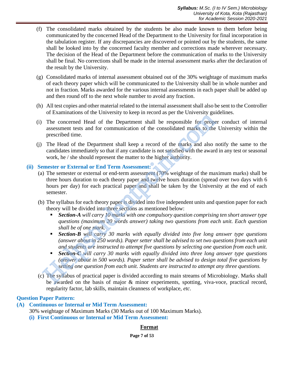- (f) The consolidated marks obtained by the students be also made known to them before being communicated by the concerned Head of the Department to the University for final incorporation in the tabulation register. If any discrepancies are discovered or pointed out by the students, the same shall be looked into by the concerned faculty member and corrections made wherever necessary. The decision of the Head of the Department before the communication of marks to the University shall be final. No corrections shall be made in the internal assessment marks after the declaration of the result by the University.
- (g) Consolidated marks of internal assessment obtained out of the 30% weightage of maximum marks of each theory paper which will be communicated to the University shall be in whole number and not in fraction. Marks awarded for the various internal assessments in each paper shall be added up and then round off to the next whole number to avoid any fraction.
- (h) All test copies and other material related to the internal assessment shall also be sent to the Controller of Examinations of the University to keep in record as per the University guidelines.
- (i) The concerned Head of the Department shall be responsible for proper conduct of internal assessment tests and for communication of the consolidated marks to the University within the prescribed time.
- (j) The Head of the Department shall keep a record of the marks and also notify the same to the candidates immediately so that if any candidate is not satisfied with the award in any test or seasonal work, he / she should represent the matter to the higher authority.

### **(ii) Semester or External or End Term Assessment:**

- (a) The semester or external or end-term assessment (70% weightage of the maximum marks) shall be three hours duration to each theory paper and twelve hours duration (spread over two days with 6 hours per day) for each practical paper and shall be taken by the University at the end of each semester. The concerned Head of the Department shall be responsible for properties<br>assessment tests and for communication of the consolidated marks to the<br>prescribed time.<br>The Lead of the Department shall keep a record of the marks
- (b) The syllabus for each theory paper is divided into five independent units and question paper for each theory will be divided into three sections as mentioned below:
	- **Section-A** will carry 10 marks with one compulsory question comprising ten short answer type *questions (maximum 20 words answer) taking two questions from each unit. Each question shall be of one mark.*
	- **Section-B** will carry 30 marks with equally divided into five long answer type questions *(answer about in 250 words). Paper setter shall be advised to set two questions from each unit and students are instructed to attempt five questions by selecting one question from each unit.*
	- **• Section-C** will carry 30 marks with equally divided into three long answer type questions *(answer about in 500 words). Paper setter shall be advised to design total five questions by setting one question from each unit. Students are instructed to attempt any three questions.*
- (c) The syllabus of practical paper is divided according to main streams of Microbiology. Marks shall be awarded on the basis of major & minor experiments, spotting, viva-voce, practical record, regularity factor, lab skills, maintain cleanness of workplace, *etc*.

### **Question Paper Pattern:**

### **(A) Continuous or Internal or Mid Term Assessment:**

30% weightage of Maximum Marks (30 Marks out of 100 Maximum Marks).

**(i) First Continuous or Internal or Mid Term Assessment:**

### **Format**

**Page 7 of 53**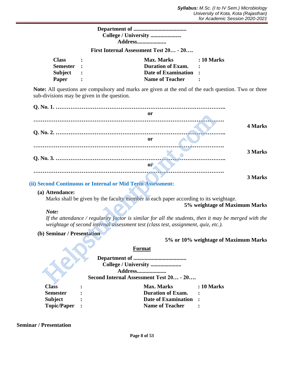| <b>Address</b> |
|----------------|

**First Internal Assessment Test 20… - 20….** 

| <b>Class</b> | <b>Max. Marks</b>        | : 10 Marks |
|--------------|--------------------------|------------|
| Semester :   | <b>Duration of Exam.</b> |            |
| Subject :    | Date of Examination :    |            |
| Paper        | <b>Name of Teacher</b>   |            |

**Note:** All questions are compulsory and marks are given at the end of the each question. Two or three sub-divisions may be given in the question.

| or                                                                                                                                                                                                                                                                                                                                               |
|--------------------------------------------------------------------------------------------------------------------------------------------------------------------------------------------------------------------------------------------------------------------------------------------------------------------------------------------------|
| <b>4 Marks</b>                                                                                                                                                                                                                                                                                                                                   |
| or                                                                                                                                                                                                                                                                                                                                               |
| 3 Marks                                                                                                                                                                                                                                                                                                                                          |
| <sub>or</sub>                                                                                                                                                                                                                                                                                                                                    |
| 3 Marks<br>ii) Second Continuous or Internal or Mid Term Assessment:                                                                                                                                                                                                                                                                             |
| (a) Attendance:<br>Marks shall be given by the faculty member in each paper according to its weightage.<br>5% weightage of Maximum Marks<br>Note:<br>If the attendance / regularity factor is similar for all the students, then it may be merged with the<br>weightage of second internal assessment test (class test, assignment, quiz, etc.). |
| (b) Seminar / Presentation                                                                                                                                                                                                                                                                                                                       |
| 5% or 10% weightage of Maximum Marks<br><b>Format</b>                                                                                                                                                                                                                                                                                            |
| College / University<br><b>Address</b><br>Second Internal Assessment Test 20 - 20                                                                                                                                                                                                                                                                |

### **(ii) Second Continuous or Internal or Mid Term Assessment:**

### **(a) Attendance:**

### *Note:*

### **(b) Seminar / Presentation**

# **5% or 10% weightage of Maximum Marks**

### **Format**

| Second Internal Assessment Test 20 - 20 |  |
|-----------------------------------------|--|
|-----------------------------------------|--|

| <b>Class</b>    | <b>Max. Marks</b>        | : 10 Marks |
|-----------------|--------------------------|------------|
| <b>Semester</b> | <b>Duration of Exam.</b> |            |
| Subject         | Date of Examination :    |            |
| Topic/Paper :   | <b>Name of Teacher</b>   |            |

### **Seminar / Presentation**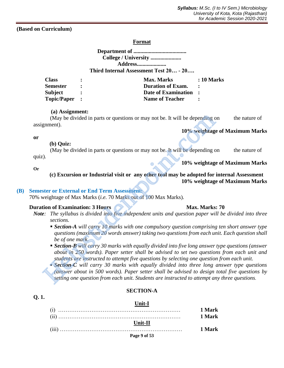**(Based on Curriculum)**

### **Format**

| Address                                |  |
|----------------------------------------|--|
| Third Internal Assessment Test 20 - 20 |  |
|                                        |  |

| <b>Class</b>    | <b>Max. Marks</b>        | $\therefore$ 10 Marks |
|-----------------|--------------------------|-----------------------|
| <b>Semester</b> | <b>Duration of Exam.</b> |                       |
| <b>Subject</b>  | Date of Examination :    |                       |
| Topic/Paper :   | <b>Name of Teacher</b>   |                       |

### **(a) Assignment:**

(May be divided in parts or questions or may not be. It will be depending on the nature of assignment).

### **10% weightage of Maximum Marks**

**10% weightage of Maximum Marks** 

### **or**

### **(b) Quiz:**

(May be divided in parts or questions or may not be. It will be depending on the nature of quiz).

### **Or**

### **(c) Excursion or Industrial visit or any other tool may be adopted for internal Assessment 10% weightage of Maximum Marks**

### **(B) Semester or External or End Term Assessment:**

70% weightage of Max Marks (*i.e.* 70 Marks out of 100 Max Marks).

### **Duration of Examination: 3 Hours Max. Marks: 70**

- *Note: The syllabus is divided into five independent units and question paper will be divided into three sections.* 
	- **Section-A** will carry 10 marks with one compulsory question comprising ten short answer type *questions (maximum 20 words answer) taking two questions from each unit. Each question shall be of one mark.*
	- **Example 30 Figure 30 marks with equally divided into five long answer type questions (answer** *about in 250 words). Paper setter shall be advised to set two questions from each unit and students are instructed to attempt five questions by selecting one question from each unit.*
- *Section-C will carry 30 marks with equally divided into three long answer type questions (answer about in 500 words). Paper setter shall be advised to design total five questions by setting one question from each unit. Students are instructed to attempt any three questions.*  (May be divided in parts or questions or may not be. It will be depending or<br>
(May be divided in parts or questions or may not be. It will be depending comment).<br>
(May be divided in parts or questions or may not be. It wi

# **Q. 1.**

### **SECTION-A**

# **Unit-I** (i) ………………………………………………………… **1 Mark** (ii) ………………………………………………………… **1 Mark**

**Page 9 of 53 Unit-II**  (iii) ………………………………………………………… **1 Mark**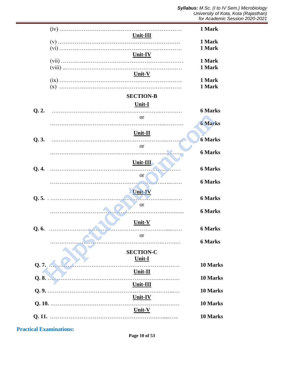|       |                                   | 1 Mark                           |
|-------|-----------------------------------|----------------------------------|
|       | Unit-III                          | 1 Mark<br>1 Mark                 |
|       | $Unit - IV$                       | 1 Mark<br>1 Mark                 |
|       | Unit-V                            | 1 Mark<br>1 Mark                 |
|       | <b>SECTION-B</b><br><u>Unit-I</u> |                                  |
| Q.2.  | <b>or</b>                         | <b>6 Marks</b><br><b>6 Marks</b> |
| Q.3.  | Unit-II                           | <b>6 Marks</b>                   |
|       | <b>or</b>                         | <b>6 Marks</b>                   |
| Q.4.  | $Unit-III$<br>or                  | <b>6 Marks</b>                   |
|       | <b>Unit-IV</b>                    | <b>6 Marks</b>                   |
|       | .<br><b>or</b>                    | <b>6 Marks</b>                   |
|       | Unit-V                            | <b>6 Marks</b><br><b>6 Marks</b> |
|       | or                                | <b>6 Marks</b>                   |
| Q. 7. | <b>SECTION-C</b><br>Unit-I        | 10 Marks                         |
| Q. 8. | Unit-II                           | 10 Marks                         |
|       | Unit-III                          | 10 Marks                         |
|       | Unit-IV<br>Unit-V                 | 10 Marks                         |
|       |                                   | 10 Marks                         |

**Practical Examinations:**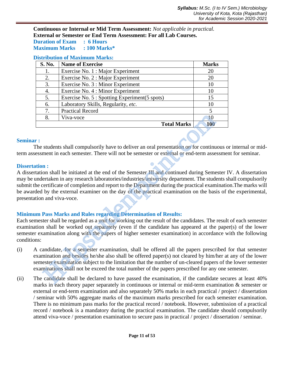**Continuous or Internal or Mid Term Assessment:** *Not applicable in practical.* **External or Semester or End Term Assessment: For all Lab Courses. Duration of Exam : 6 Hours**

**Maximum Marks : 100 Marks\***

# **Distribution of Maximum Marks:**

| S. No. | <b>Name of Exercise</b>                        | <b>Marks</b> |
|--------|------------------------------------------------|--------------|
| 1.     | Exercise No. 1 : Major Experiment              | 20           |
| 2.     | Exercise No. 2 : Major Experiment              | 20           |
| 3.     | Exercise No. 3 : Minor Experiment              | 10           |
| 4.     | Exercise No. 4 : Minor Experiment              | 10           |
| 5.     | Exercise No. 5 : Spotting Experiment (5 spots) | 15           |
| 6.     | Laboratory Skills, Regularity, etc.            | 10           |
| 7.     | <b>Practical Record</b>                        | 5            |
| 8.     | Viva-voce                                      | 10           |
|        | <b>Total Marks</b>                             | <b>100</b>   |

### **Seminar :**

 The students shall compulsorily have to deliver an oral presentation on for continuous or internal or midterm assessment in each semester. There will not be semester or external or end-term assessment for seminar.

### **Dissertation :**

A dissertation shall be initiated at the end of the Semester III and continued during Semester IV. A dissertation may be undertaken in any research laboratories/industries/university department. The students shall compulsorily submit the certificate of completion and report to the Department during the practical examination.The marks will be awarded by the external examiner on the day of the practical examination on the basis of the experimental, presentation and viva-voce. **EXECUTE:** The state of the property and the semistric match and the semister of the semister of the semister of external or end in the semister of external or end in the semister of external or end term assemble in the s

# **Minimum Pass Marks and Rules regarding Determination of Results:**

Each semester shall be regarded as a unit for working out the result of the candidates. The result of each semester examination shall be worked out separately (even if the candidate has appeared at the paper(s) of the lower semester examination along with the papers of higher semester examination) in accordance with the following conditions:

- (i) A candidate, for a semester examination, shall be offered all the papers prescribed for that semester examination and besides he/she also shall be offered paper(s) not cleared by him/her at any of the lower semester examination subject to the limitation that the number of un-cleared papers of the lower semester examinations shall not be exceed the total number of the papers prescribed for any one semester.
- (ii) The candidate shall be declared to have passed the examination, if the candidate secures at least 40% marks in each theory paper separately in continuous or internal or mid-term examination & semester or external or end-term examination and also separately 50% marks in each practical / project / dissertation / seminar with 50% aggregate marks of the maximum marks prescribed for each semester examination. There is no minimum pass marks for the practical record / notebook. However, submission of a practical record / notebook is a mandatory during the practical examination. The candidate should compulsorily attend viva-voce / presentation examination to secure pass in practical / project / dissertation / seminar.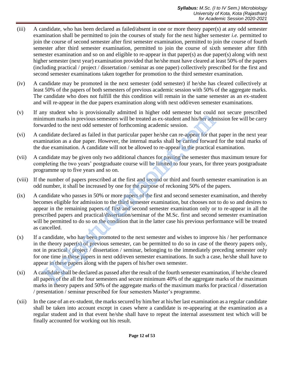- (iii) A candidate, who has been declared as failed/absent in one or more theory paper(s) at any odd semester examination shall be permitted to join the courses of study for the next higher semester *i.e.* permitted to join the course of second semester after first semester examination, permitted to join the course of fourth semester after third semester examination, permitted to join the course of sixth semester after fifth semester examination and so on and eligible to re-appear in that paper(s) as due paper(s) along with next higher semester (next year) examination provided that he/she must have cleared at least 50% of the papers (including practical / project / dissertation / seminar as one paper) collectively prescribed for the first and second semester examinations taken together for promotion to the third semester examination.
- (iv) A candidate may be promoted in the next semester (odd semester) if he/she has cleared collectively at least 50% of the papers of both semesters of previous academic session with 50% of the aggregate marks. The candidate who does not fulfill the this condition will remain in the same semester as an ex-student and will re-appear in the due papers examination along with next odd/even semester examinations.
- (v) If any student who is provisionally admitted in higher odd semester but could not secure prescribed minimum marks in previous semesters will be treated as ex-student and his/her admission fee will be carry forwarded to the next odd semester of forthcoming academic session.
- (vi) A candidate declared as failed in that particular paper he/she can re-appear for that paper in the next year examination as a due paper. However, the internal marks shall be carried forward for the total marks of the due examination. A candidate will not be allowed to re-appear in the practical examination.
- (vii) A candidate may be given only two additional chances for passing the semester thus maximum tenure for completing the two years' postgraduate course will be limited to four years, for three years postgraduate programme up to five years and so on.
- (viii) If the number of papers prescribed at the first and second or third and fourth semester examination is an odd number, it shall be increased by one for the purpose of reckoning 50% of the papers.
- (ix) A candidate who passes in 50% or more papers of the first and second semester examination, and thereby becomes eligible for admission to the third semester examination, but chooses not to do so and desires to appear in the remaining papers of first and second semester examination only or to re-appear in all the prescribed papers and practical/dissertation/seminar of the M.Sc. first and second semester examination will be permitted to do so on the condition that in the latter case his previous performance will be treated as cancelled. by our two method and the transministry and the method in the method of the and<br>imum marks in previous semesters will be treated as ex-student and his/her adm<br>varded to the next odd semester of forthcoming academic session
- (x) If a candidate, who has been promoted to the next semester and wishes to improve his / her performance in the theory paper(s) of previous semester, can be permitted to do so in case of the theory papers only, not in practical / project / dissertation / seminar, belonging to the immediately preceding semester only for one time in these papers in next odd/even semester examinations. In such a case, he/she shall have to appear in these papers along with the papers of his/her own semester.
- (xi) A candidate shall be declared as passed after the result of the fourth semester examination, if he/she cleared all papers of the all the four semesters and secure minimum 40% of the aggregate marks of the maximum marks in theory papers and 50% of the aggregate marks of the maximum marks for practical / dissertation / presentation / seminar prescribed for four semesters Master's programme.
- (xii) In the case of an ex-student, the marks secured by him/her at his/her last examination as a regular candidate shall be taken into account except in cases where a candidate is re-appearing at the examination as a regular student and in that event he/she shall have to repeat the internal assessment test which will be finally accounted for working out his result.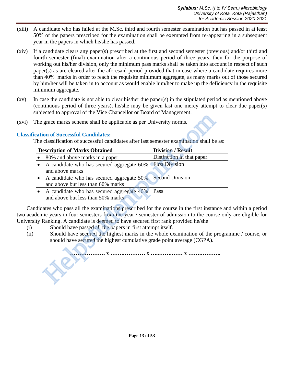- (xiii) A candidate who has failed at the M.Sc. third and fourth semester examination but has passed in at least 50% of the papers prescribed for the examination shall be exempted from re-appearing in a subsequent year in the papers in which he/she has passed.
- (xiv) If a candidate clears any paper(s) prescribed at the first and second semester (previous) and/or third and fourth semester (final) examination after a continuous period of three years, then for the purpose of working out his/her division, only the minimum pass marks shall be taken into account in respect of such paper(s) as are cleared after the aforesaid period provided that in case where a candidate requires more than 40% marks in order to reach the requisite minimum aggregate, as many marks out of those secured by him/her will be taken in to account as would enable him/her to make up the deficiency in the requisite minimum aggregate.
- (xv) In case the candidate is not able to clear his/her due paper(s) in the stipulated period as mentioned above (continuous period of three years), he/she may be given last one mercy attempt to clear due paper(s) subjected to approval of the Vice Chancellor or Board of Management.
- (xvi) The grace marks scheme shall be applicable as per University norms.

# **Classification of Successful Candidates:**

| The grace marks scheme shall be applicable as per University norms.                                                                                                                                                                                                                                                                                                                                                                                                                       |                            |  |  |  |
|-------------------------------------------------------------------------------------------------------------------------------------------------------------------------------------------------------------------------------------------------------------------------------------------------------------------------------------------------------------------------------------------------------------------------------------------------------------------------------------------|----------------------------|--|--|--|
| cation of Successful Candidates:                                                                                                                                                                                                                                                                                                                                                                                                                                                          |                            |  |  |  |
| The classification of successful candidates after last semester examination shall be as:                                                                                                                                                                                                                                                                                                                                                                                                  |                            |  |  |  |
| <b>Description of Marks Obtained</b>                                                                                                                                                                                                                                                                                                                                                                                                                                                      | <b>Division / Result</b>   |  |  |  |
| 80% and above marks in a paper.                                                                                                                                                                                                                                                                                                                                                                                                                                                           | Distinction in that paper. |  |  |  |
| A candidate who has secured aggregate 60%<br>$\bullet$<br>and above marks                                                                                                                                                                                                                                                                                                                                                                                                                 | <b>First Division</b>      |  |  |  |
| A candidate who has secured aggregate 50%<br>$\bullet$<br>and above but less than 60% marks                                                                                                                                                                                                                                                                                                                                                                                               | <b>Second Division</b>     |  |  |  |
| A candidate who has secured aggregate 40%<br>$\bullet$<br>and above but less than 50% marks                                                                                                                                                                                                                                                                                                                                                                                               | Pass                       |  |  |  |
| didates who pass all the examinations prescribed for the course in the first instance an<br>demic years in four semesters from the year / semester of admission to the course onl<br>ty Ranking. A candidate is deemed to have secured first rank provided he/she<br>Should have passed all the papers in first attempt itself.<br>Should have secured the highest marks in the whole examination of the progra<br>should have secured the highest cumulative grade point average (CGPA). |                            |  |  |  |

Candidates who pass all the examinations prescribed for the course in the first instance and within a period two academic years in four semesters from the year / semester of admission to the course only are eligible for University Ranking. A candidate is deemed to have secured first rank provided he/she

- (i) Should have passed all the papers in first attempt itself.
- (ii) Should have secured the highest marks in the whole examination of the programme / course, or should have secured the highest cumulative grade point average (CGPA).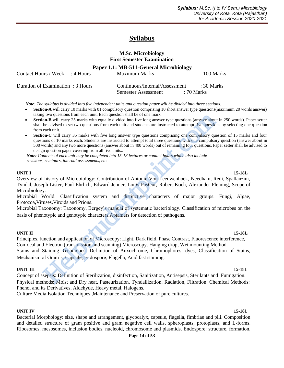# **Syllabus**

### **M.Sc. Microbiology First Semester Examination**

**Paper 1.1: MB-511-General Microbiology**

Contact Hours / Week : 4 Hours Maximum Marks : 100 Marks

Duration of Examination : 3 Hours Continuous/Internal/Assessment : 30 Marks Semester Assessment : 70 Marks

 *Note: The syllabus is divided into five independent units and question paper will be divided into three sections.*

- **Section-A** will carry 10 marks with 01 compulsory question comprising 10 short answer type questions(maximum 20 words answer) taking two questions from each unit. Each question shall be of one mark.
- **Section-B** will carry 25 marks with equally divided into five long answer type questions (answer about in 250 words). Paper setter shall be advised to set two questions from each unit and students are instructed to attempt five questions by selecting one question from each unit.
- **Section-C** will carry 35 marks with five long answer type questions comprising one compulsory question of 15 marks and four questions of 10 marks each. Students are instructed to attempt total three questions with one compulsory question (answer about in 500 words) and any two more questions (answer about in 400 words) out of remaining four questions. Paper setter shall be advised to design question paper covering from all five units.*.*

 *Note: Contents of each unit may be completed into 15-18 lectures or contact hours which also include revisions, seminars, internal assessments, etc.*

### **UNIT I 15-18L**

Overview of history of Microbiology: Contribution of Antonie Von Leeuwenhoek, Needham, Redi, Spallanzini, Tyndal, Joseph Lister, Paul Ehrlich, Edward Jenner, Louis Pasteur, Robert Koch, Alexander Fleming, Scope of Microbiology.

Microbial World: Classification system and distinctive characters of major groups: Fungi, Algae, Protozoa,Viruses,Viroids and Prions.

Microbial Taxonomy: Taxonomy, Bergey's manual of systematic bacteriology. Classification of microbes on the basis of phenotypic and genotypic characters.Aptamers for detection of pathogens.

### **UNIT II 15-18L**

Principles, function and application of Microscopy: Light, Dark field, Phase Contrast, Fluorescence interference, Confocal and Electron (transmission and scanning) Microscopy. Hanging drop, Wet mounting Method. Stains and Staining Techniques: Definition of Auxochrome, Chromophores, dyes, Classification of Stains, Mechanism of Gram's, Capsule, Endospore, Flagella, Acid fast staining. g two questions from each unit. Each question shall be of one mank.<br>
and won-B will carry 25 manks with equally divided into five long answer type questions (answer about be advised to set two questions from each unit and

### **UNIT III** 15-18L

Concept of asepsis: Definition of Sterilization, disinfection, Sanitization, Antisepsis, Sterilants and Fumigation. Physical methods: Moist and Dry heat, Pasteurization, Tyndallization, Radiation, Filtration. Chemical Methods: Phenol and its Derivatives, Aldehyde, Heavy metal, Halogens.

Culture Media,Isolation Techniques ,Maintenance and Preservation of pure cultures.

### **UNIT IV 15-18**L

Bacterial Morphology: size, shape and arrangement, glycocalyx, capsule, flagella, fimbriae and pili. Composition and detailed structure of gram positive and gram negative cell walls, spheroplasts, protoplasts, and L-forms. Ribosomes, mesosomes, inclusion bodies, nucleoid, chromosome and plasmids. Endospore: structure, formation,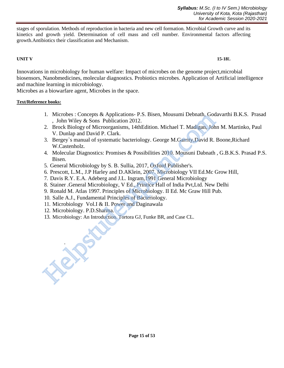stages of sporulation. Methods of reproduction in bacteria and new cell formation. Microbial Growth curve and its kinetics and growth yield. Determination of cell mass and cell number. Environmental factors affecting growth.Antibiotics their classification and Mechanism.

### **UNIT V 15-18**L

Innovations in microbiology for human welfare: Impact of microbes on the genome project,microbial biosensors, Nanobmedicines, molecular diagnostics. Probiotics microbes. Application of Artificial intelligence and machine learning in microbiology.

Microbes as a biowarfare agent, Microbes in the space.

### **Text/Reference books:**

- 1. Microbes : Concepts & Applications- P.S. Bisen, Mousumi Debnath, Godavarthi B.K.S. Prasad , John Wiley & Sons Publication 2012.
- 2. Brock Biology of Microorganisms, 14thEdition. Michael T. Madigan, John M. Martinko, Paul V. Dunlap and David P. Clark. 1. Mortology: Concepts & Applications - P.S. Bisen, Mousumi Dennain, Google J. Book Biology of Microorganisms, 14thEdition. Michael T. Madigan, John V. Dunlap and David P. Clark.<br>
3. Bergey's manual of systematic bacteriol
- 3. Bergey`s manual of systematic bacteriology. George M.Garrity,David R. Boone,Richard W.Castenholz.
- 4. Molecular Diagnostics: Promises & Possibilities 2010. Mousuni Dabnath , G.B.K.S. Prasad P.S. Bisen.
- 5. General Microbiology by S. B. Sullia, 2017, Oxford Publisher's.
- 6. Prescott, L.M., J.P Harley and D.AKlein, 2007. Microbiology VII Ed.Mc Grow Hill,
- 7. Davis R.Y. E.A. Adeberg and J.L. Ingram,1991 General Microbiology
- 8. Stainer .General Microbiology, V Ed., Printice Hall of India Pvt,Ltd. New Delhi
- 9. Ronald M. Atlas 1997. Principles of Microbiology. II Ed. Mc Graw Hill Pub.
- 10. Salle A.J., Fundamental Principles of Bacteriology.
- 11. Microbiology Vol.I & II. Power and Daginawala
- 12. Microbiology. P.D.Sharma.

.

13. Microbiology: An Introduction. Tortora GJ, Funke BR, and Case CL.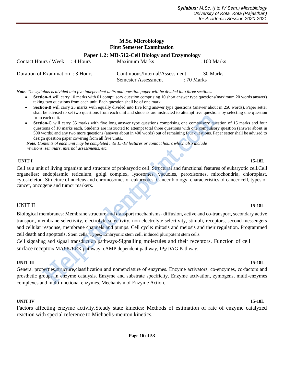### **M.Sc. Microbiology First Semester Examination**

**Paper 1.2: MB-512-Cell Biology and Enzymology**

| Contact Hours / Week : 4 Hours    | Maximum Marks                                         |            | $\therefore$ 100 Marks |
|-----------------------------------|-------------------------------------------------------|------------|------------------------|
| Duration of Examination : 3 Hours | Continuous/Internal/Assessment<br>Semester Assessment | : 70 Marks | : 30 Marks             |
|                                   |                                                       |            |                        |

*Note: The syllabus is divided into five independent units and question paper will be divided into three sections.*

- **Section-A** will carry 10 marks with 01 compulsory question comprising 10 short answer type questions(maximum 20 words answer) taking two questions from each unit. Each question shall be of one mark.
	- **Section-B** will carry 25 marks with equally divided into five long answer type questions (answer about in 250 words). Paper setter shall be advised to set two questions from each unit and students are instructed to attempt five questions by selecting one question from each unit.
	- **Section-C** will carry 35 marks with five long answer type questions comprising one compulsory question of 15 marks and four questions of 10 marks each. Students are instructed to attempt total three questions with one compulsory question (answer about in 500 words) and any two more questions (answer about in 400 words) out of remaining four questions. Paper setter shall be advised to design question paper covering from all five units.*.*

 *Note: Contents of each unit may be completed into 15-18 lectures or contact hours which also include revisions, seminars, internal assessments, etc.*

### **UNIT I 15-18L**

Cell as a unit of living organism and structure of prokaryotic cell, Structural and functional features of eukaryotic cell.Cell organelles; endoplasmic reticulum, golgi complex, lysosomes, vacuoles, peroxisomes, mitochondria, chloroplast, cytoskeleton. Structure of nucleus and chromosomes of eukaryotes. Cancer biology: characteristics of cancer cell, types of cancer, oncogene and tumor markers.

### UNIT II **15-18L**

Biological membranes: Membrane structure and transport mechanisms- diffusion, active and co-transport, secondary active transport, membrane selectivity, electrolyte selectivity, non electrolyte selectivity, stimuli, receptors, second messengers and cellular response, membrane channels and pumps. Cell cycle: mitosis and meiosis and their regulation. Programmed cell death and apoptosis. Stem cells. Types: Embryonic stem cell, induced pluripotent stem cells each unit.<br>
encource will carry 35 marks with five long answer type questions comprising one compulsor<br>
coins of 10 marks each. Students are instructed to attempt total three questions with one compulsor<br>
coins of 10 marks

Cell signaling and signal transduction pathways-Signalling molecules and their receptors. Function of cell surface receptor**s** MAPK/ERK pathway, cAMP dependent pathway, IP3/DAG Pathway.

### **UNIT III 15-18L**

General properties,structure,classification and nomenclature of enzymes. Enzyme activators, co-enzymes, co-factors and prosthetic groups in enzyme catalysis, Enzyme and substrate specificity. Enzyme activation, zymogens, multi-enzymes complexes and multifunctional enzymes. Mechanism of Enzyme Action.

### **UNIT IV 15-18L**

Factors affecting enzyme activity.Steady state kinetics: Methods of estimation of rate of enzyme catalyzed reaction with special reference to Michaelis-menton kinetics.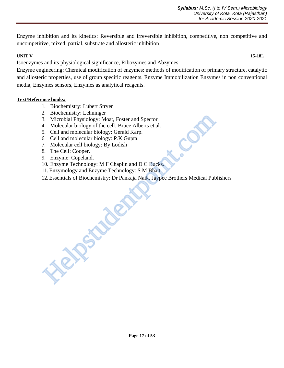Enzyme inhibition and its kinetics: Reversible and irreversible inhibition, competitive, non competitive and uncompetitive, mixed, partial, substrate and allosteric inhibition.

### **UNIT V 15-18**L

Isoenzymes and its physiological significance, Ribozymes and Abzymes.

Enzyme engineering: Chemical modification of enzymes: methods of modification of primary structure, catalytic and allosteric properties, use of group specific reagents. Enzyme Immobilization Enzymes in non conventional media, Enzymes sensors, Enzymes as analytical reagents.

# **Text/Reference books:**

- 1. Biochemistry: Lubert Stryer
- 2. Biochemistry: Lehninger
- 3. Microbial Physiology: Moat, Foster and Spector
- 4. Molecular biology of the cell: Bruce Alberts et al.
- 5. Cell and molecular biology: Gerald Karp.
- 6. Cell and molecular biology: P.K.Gupta.
- 7. Molecular cell biology: By Lodish
- 8. The Cell: Cooper.
- 9. Enzyme: Copeland.
- 10. Enzyme Technology: M F Chaplin and D C Bucks.
- 11. Enzymology and Enzyme Technology: S M Bhatt.
- 12. Essentials of Biochemistry: Dr Pankaja Naik, Jaypee Brothers Medical Publishers **Helpstudent**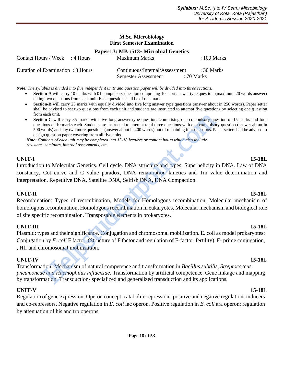### **M.Sc. Microbiology First Semester Examination**

### **Paper1.3: MB-:513**- **Microbial Genetics**

| Contact Hours / Week : 4 Hours    | Maximum Marks                  | $\pm 100$ Marks |
|-----------------------------------|--------------------------------|-----------------|
| Duration of Examination : 3 Hours | Continuous/Internal/Assessment | : 30 Marks      |
|                                   | Semester Assessment            | : 70 Marks      |

*Note: The syllabus is divided into five independent units and question paper will be divided into three sections.*

- **Section-A** will carry 10 marks with 01 compulsory question comprising 10 short answer type questions(maximum 20 words answer) taking two questions from each unit. Each question shall be of one mark.
- **Section-B** will carry 25 marks with equally divided into five long answer type questions (answer about in 250 words). Paper setter shall be advised to set two questions from each unit and students are instructed to attempt five questions by selecting one question from each unit.
- **Section-C** will carry 35 marks with five long answer type questions comprising one compulsory question of 15 marks and four questions of 10 marks each. Students are instructed to attempt total three questions with one compulsory question (answer about in 500 words) and any two more questions (answer about in 400 words) out of remaining four questions. Paper setter shall be advised to design question paper covering from all five units.

 *Note: Contents of each unit may be completed into 15-18 lectures or contact hours which also include revisions, seminars, internal assessments, etc.*

# **UNIT-I 15-18L**

Introduction to Molecular Genetics. Cell cycle. DNA structure and types. Superhelicity in DNA. Law of DNA constancy, Cot curve and C value paradox, DNA renaturation kinetics and Tm value determination and interpretation, Repetitive DNA, Satellite DNA, Selfish DNA, DNA Compaction.

# **UNIT-II 15-18**L

Recombination: Types of recombination, Models for Homologous recombination, Molecular mechanism of homologous recombination, Homologous recombination in eukaryotes, Molecular mechanism and biological role of site specific recombination. Transposable elements in prokaryotes.

# **UNIT-III 15-18**L

Plasmid: types and their significance. Conjugation and chromosomal mobilization. E. coli as model prokaryote**s**: Conjugation by *E. coli* F factor. (Structure of F factor and regulation of F-factor fertility), F- prime conjugation, , Hfr and chromosomal mobilization. each until carry 35 marks with five long answer type questions comprising one compulsory queno unto f 10 marks each. Students are instructed to attent) at there questions with one compulsor of the matter and there are inst

### **UNIT-IV 15-18**L

Transformation: Mechanism of natural competence and transformation in *Bacillus subtilis*, *Streptococcus pneumoneae and Haemophilus influenzae.* Transformation by artificial competence. Gene linkage and mapping by transformation. Transduction- specialized and generalized transduction and its applications.

### **UNIT-V 15-18**L

Regulation of gene expression: Operon concept, catabolite repression, positive and negative regulation: inducers and co-repressors. Negative regulation in *E. coli* lac operon. Positive regulation in *E. coli* ara operon; regulation by attenuation of his and trp operons.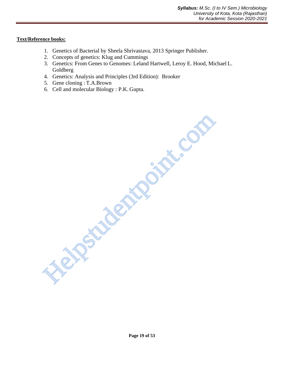### **Text/Reference books:**

- 1. Genetics of Bacterial by Sheela Shrivastava, 2013 Springer Publisher.
- 2. Concepts of genetics: Klug and Cummings
- 3. Genetics: From Genes to Genomes: Leland Hartwell, Leroy E. Hood, Michael L. Goldberg
- 4. Genetics: Analysis and Principles (3rd Edition): Brooker
- 5. Gene cloning : T.A.Brown
- 6. Cell and molecular Biology : P.K. Gupta.

Helpstudentpoint.com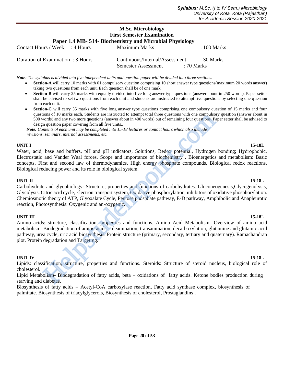# **M.Sc. Microbiology First Semester Examination Paper 1.4 MB- 514- Biochemistry and Microbial Physiology**

| Contact Hours / Week : 4 Hours    | Maximum Marks                  |            | $\therefore$ 100 Marks |
|-----------------------------------|--------------------------------|------------|------------------------|
| Duration of Examination : 3 Hours | Continuous/Internal/Assessment |            | $\div$ 30 Marks        |
|                                   | <b>Semester Assessment</b>     | : 70 Marks |                        |

*Note: The syllabus is divided into five independent units and question paper will be divided into three sections.*

- **Section-A** will carry 10 marks with 01 compulsory question comprising 10 short answer type questions(maximum 20 words answer) taking two questions from each unit. Each question shall be of one mark.
- **Section-B** will carry 25 marks with equally divided into five long answer type questions (answer about in 250 words). Paper setter shall be advised to set two questions from each unit and students are instructed to attempt five questions by selecting one question from each unit.
- **Section-C** will carry 35 marks with five long answer type questions comprising one compulsory question of 15 marks and four questions of 10 marks each. Students are instructed to attempt total three questions with one compulsory question (answer about in 500 words) and any two more questions (answer about in 400 words) out of remaining four questions. Paper setter shall be advised to design question paper covering from all five units.*.*

 *Note: Contents of each unit may be completed into 15-18 lectures or contact hours which also include revisions, seminars, internal assessments, etc.*

### **UNIT I 15-18L**

Water, acid, base and buffers, pH and pH indicators, Solutions, Redox potential, Hydrogen bonding; Hydrophobic, Electrostatic and Vander Waal forces. Scope and importance of biochemistry . Bioenergetics and metabolism: Basic concepts. First and second law of thermodynamics. High energy phosphate compounds. Biological redox reactions, Biological reducing power and its role in biological system.

### **UNIT II 15-18**L

Carbohydrate and glycobiology: Structure, properties and functions of carbohydrates. Gluconeogenesis,Glycogenolysis, Glycolysis. Citric acid cycle, Electron transport system, Oxidative phosphorylation, inhibitors of oxidative phosphorylation. Chemiosmotic theory of ATP, Glyoxalate Cycle, Pentose phosphate pathway, E-D pathway, Amphibolic and Anapleurotic reaction, Photosynthesis: Oxygenic and an-oxygenic. For a transcental state instructed to attention of a transcentation of the distance propusor of outer and the and the constraints of each and the propused of the minimal form questions. Propused to a state a state and the

### **UNIT III 15-18**L

Amino acids: structure, classification, properties and functions. Amino Acid Metabolism- Overview of amino acid metabolism, Biodegradation of amino acids – deamination, transamination, decarboxylation, glutamine and glutamic acid pathway, urea cycle, uric acid biosynthesis. Protein structure (primary, secondary, tertiary and quaternary). Ramachandran plot. Protein degradation and Targeting.

### **UNIT IV 15-18**L

Lipids: classification, structure, properties and functions. Steroids: Structure of steroid nucleus, biological role of cholesterol.

Lipid Metabolism- Biodegradation of fatty acids, beta – oxidations of fatty acids. Ketone bodies production during starving and diabetes.

Biosynthesis of fatty acids – Acetyl-CoA carboxylase reaction, Fatty acid synthase complex, biosynthesis of palmitate. Biosynthesis of triacylglycerols, Biosynthesis of cholesterol, Prostaglandins **.**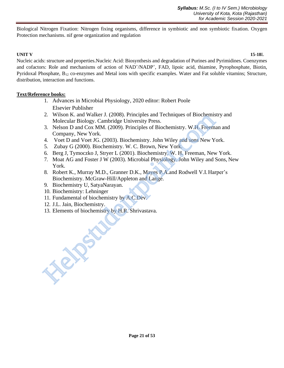Biological Nitrogen Fixation: Nitrogen fixing organisms, difference in symbiotic and non symbiotic fixation. Oxygen Protection mechanisms. nif gene organization and regulation

### **UNIT V 15-18**L

Nucleic acids: structure and properties.Nucleic Acid: Biosynthesis and degradation of Purines and Pyrimidines. Coenzymes and cofactors: Role and mechanisms of action of NAD<sup>+</sup>/NADP<sup>+</sup>, FAD, lipoic acid, thiamine, Pyrophosphate, Biotin, Pyridoxal Phosphate, B<sub>12</sub> co-enzymes and Metal ions with specific examples. Water and Fat soluble vitamins; Structure, distribution, interaction and functions.

### **Text/Reference books:**

- 1. Advances in Microbial Physiology, 2020 editor: Robert Poole Elsevier Publisher
- 2. Wilson K. and Walker J. (2008). Principles and Techniques of Biochemistry and Molecular Biology. Cambridge University Press.
- 3. Nelson D and Cox MM. (2009). Principles of Biochemistry. W.H. Freeman and Company, New York.
- 4. Voet D and Voet JG. (2003). Biochemistry. John Wiley and sons New York.
- 5. Zubay G (2000). Biochemistry. W. C. Brown, New York.
- 6. Berg J, Tymoczko J, Stryer L (2001). Biochemistry. W. H. Freeman, New York.
- 7. Moat AG and Foster J W (2003). Microbial Physiology. John Wiley and Sons, New York.
- 8. Robert K., Murray M.D., Granner D.K., Mayes P.A.and Rodwell V.I.Harper's Biochemistry. McGraw-Hill/Appleton and Lange.
- 9. Biochemistry U, SatyaNarayan.
- 10. Biochemistry: Lehninger
- 11. Fundamental of biochemistry by A.C.Dev.
- 12. J.L. Jain, Biochemistry.

**Helpstudent** 

13. Elements of biochemistry by H.R. Shrivastava.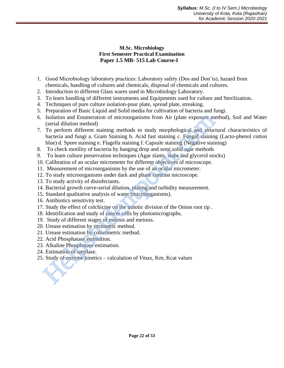# **M.Sc. Microbiology First Semester Practical Examination Paper 1.5 MB- 515 Lab Course-I**

- 1. Good Microbiology laboratory practices: Laboratory safety (Dos and Don'ts), hazard from chemicals, handling of cultures and chemicals, disposal of chemicals and cultures.
- 2. Introduction to different Glass wares used in Microbiology Laboratory.
- 3. To learn handling of different instruments and Equipments used for culture and Sterilization**.**
- 4. Techniques of pure culture isolation-pour plate, spread plate, streaking.
- 5. Preparation of Basic Liquid and Solid media for cultivation of bacteria and fungi.
- 6. Isolation and Enumeration of microorganisms from Air (plate exposure method), Soil and Water (serial dilution method)
- 7. To perform different staining methods to study morphological and structural characteristics of bacteria and fungi a. Gram Staining b. Acid fast staining c. Fungal staining (Lacto-phenol cotton blue) d. Spore staining e. Flagella staining f. Capsule staining (Negative staining) Isolation and Enumeration of microorganisms from Air (plate exposure me (serial dilution method)<br>
(serial dividion method)<br>
To perform different staining methods to study morphological and struct<br>
bacteria and fungi a. Gra
- 8. To check motility of bacteria by hanging drop and semi solid agar methods
- 9. To learn culture preservation techniques (Agar slants, stabs and glycerol stocks)
- 10. Calibration of an ocular micrometer for different objectives of microscope.
- 11. Measurement of microorganisms by the use of an ocular micrometer.
- 12. To study microorganisms under dark and phase contrast microscope.
- 13. To study activity of disinfectants.
- 14. Bacterial growth curve-serial dilution, plating and turbidity measurement.
- 15. Standard qualitative analysis of water (microorganisms).
- 16. Antibiotics sensitivity test.
- 17. Study the effect of colchicine on the mitotic division of the Onion root tip .
- 18. Identification and study of cancer cells by photomicrographs.
- 19. Study of different stages of mitosis and meiosis.
- 20. Urease estimation by titrimetric method.
- 21. Urease estimation by colorimetric method.
- 22. Acid Phosphatase estimation.
- 23. Alkaline Phosphatase estimation.
- 24. Estimation of amylase.
- 25. Study of enzyme kinetics calculation of *V*max, Km, Kcat values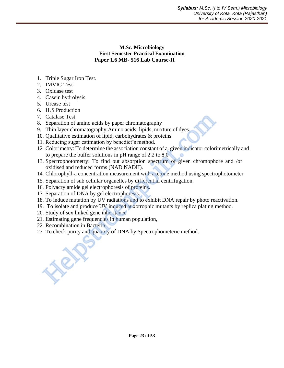# **M.Sc. Microbiology First Semester Practical Examination Paper 1.6 MB- 516 Lab Course-II**

- 1. Triple Sugar Iron Test.
- 2. IMVIC Test
- 3. Oxidase test
- 4. Casein hydrolysis.
- 5. Urease test
- 6. H2S Production
- 7. Catalase Test.
- 8. Separation of amino acids by paper chromatography
- 9. Thin layer chromatography:Amino acids, lipids, mixture of dyes.
- 10. Qualitative estimation of lipid, carbohydrates & proteins.
- 11. Reducing sugar estimation by benedict's method.
- 12. Colorimetry: To determine the association constant of a. given indicator colorimetrically and to prepare the buffer solutions in pH range of 2.2 to 8.0 Catalase Test.<br>
Separation of amino acids by paper chromatography<br>
Separation of amino acids, hipids, mixture of dyes.<br>
Thin layer chromatography:Amino acids, hipids, mixture of dyes.<br>
Colonitative estimation of lipid, car
- 13. Spectrophotometry: To find out absorption spectrum of given chromophore and /or oxidised and reduced forms (NAD,NADH).
- 14. Chlorophyll-a concentration measurement with acetone method using spectrophotometer
- 15. Separation of sub cellular organelles by differential centrifugation.
- 16. Polyacrylamide gel electrophoresis of proteins.
- 17. Separation of DNA by gel electrophoresis.
- 18. To induce mutation by UV radiations and to exhibit DNA repair by photo reactivation.
- 19. To isolate and produce UV induced auxotrophic mutants by replica plating method.
- 20. Study of sex linked gene inheritance.
- 21. Estimating gene frequencies in human population,
- 22. Recombination in Bacteria.
- 23. To check purity and quantity of DNA by Spectrophometeric method.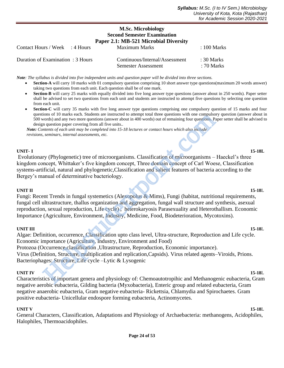# **M.Sc. Microbiology Second Semester Examination Paper 2.1: MB-521 Microbial Diversity** Contact Hours / Week : 4 Hours Maximum Marks : 100 Marks

| Duration of Examination : 3 Hours | Continuous/Internal/Assessment | $\div$ 30 Marks |
|-----------------------------------|--------------------------------|-----------------|
|                                   | Semester Assessment            | : 70 Marks      |

*Note: The syllabus is divided into five independent units and question paper will be divided into three sections.*

- **Section-A** will carry 10 marks with 01 compulsory question comprising 10 short answer type questions(maximum 20 words answer) taking two questions from each unit. Each question shall be of one mark.
- **Section-B** will carry 25 marks with equally divided into five long answer type questions (answer about in 250 words). Paper setter shall be advised to set two questions from each unit and students are instructed to attempt five questions by selecting one question from each unit.
- **Section-C** will carry 35 marks with five long answer type questions comprising one compulsory question of 15 marks and four questions of 10 marks each. Students are instructed to attempt total three questions with one compulsory question (answer about in 500 words) and any two more questions (answer about in 400 words) out of remaining four questions. Paper setter shall be advised to design question paper covering from all five units.*.*

 *Note: Contents of each unit may be completed into 15-18 lectures or contact hours which also include revisions, seminars, internal assessments, etc.*

### **UNIT- I 15-18L**

Evolutionary (Phylogenetic) tree of microorganisms. Classification of microorganisms – Haeckel's three kingdom concept, Whittaker's five kingdom concept, Three domain concept of Carl Woese, Classification systems-artificial, natural and phylogenetic,Classification and salient features of bacteria according to the Bergey's manual of determinative bacteriology.

### **UNIT II 15-18**L

Fungi: Recent Trends in fungal systemetics (Alexopolus & Mims), Fungi (habitat, nutritional requirements, fungal cell ultrastructure, thallus organization and aggregation, fungal wall structure and synthesis, asexual reproduction, sexual reproduction, Life cycle) , heterokaryosis Parasexuality and Heterothallism. Economic Importance (Agriculture, Environment, Industry, Medicine, Food, Biodeterioration, Mycotoxins).

### **UNIT III 15-18**L

Algae: Definition, occurrence, Classification upto class level, Ultra-structure, Reproduction and Life cycle. Economic importance (Agriculture, Industry, Environment and Food) Protozoa (Occurrence,classification ,Ultrastructure, Reproduction, Economic importance). Virus (Definition, Structure, multiplication and replication,Capsids). Virus related agents–Viroids, Prions. Bacteriophages: Structure, Life cycle –Lytic & Lysogenic nons or 10 marks estan. Motema are instructer to attention and tracta the questions who contents and any two none questions (nawer about in 400 words) out of remaining four questions. Propused to attent the manning for que

### **UNIT IV 15-18**L

Characteristics of important genera and physiology of: Chemoautotropihic and Methanogenic eubacteria, Gram negative aerobic eubacteria, Gilding bacteria (Myxobacteria), Enteric group and related eubacteria, Gram negative anaerobic eubacteria, Gram negative eubacteria- Rickettsia, Chlamydia and Spirochaetes. Gram positive eubacteria- Unicellular endospore forming eubacteria, Actinomycetes.

### **UNIT V 15-18**L

General Characters, Classification, Adaptations and Physiology of Archaebacteria: methanogens, Acidophiles, Halophiles, Thermoacidophiles.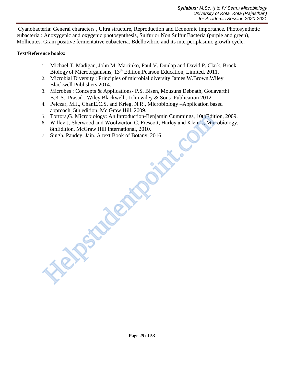Cyanobacteria: General characters , Ultra structure, Reproduction and Economic importance. Photosynthetic eubacteria : Anoxygenic and oxygenic photosynthesis, Sulfur or Non Sulfur Bacteria (purple and green), Mollicutes. Gram positive fermentative eubacteria. Bdellovibrio and its interperiplasmic growth cycle.

### **Text/Reference books:**

- 1. Michael T. Madigan, John M. Martinko, Paul V. Dunlap and David P. Clark, Brock Biology of Microorganisms, 13<sup>th</sup> Edition, Pearson Education, Limited, 2011.
- 2. Microbial Diversity : Principles of microbial diversity.James W.Brown.Wiley Blackwell Publishers.2014.
- 3. Microbes : Concepts & Applications- P.S. Bisen, Mousuns Debnath, Godavarthi B.K.S. Prasad , Wiley Blackwell . John wiley & Sons Publication 2012.
- 4. Pelczar, M.J., ChanE.C.S. and Krieg, N.R., Microbiology –Application based approach, 5th edition, Mc Graw Hill, 2009.
- 5. Tortora,G. Microbiology: An Introduction-Benjamin Cummings, 10thEdition, 2009.
- 6. Willey J, Sherwood and Woolwerton C, Prescott, Harley and Klein's, Microbiology, 8thEdition, McGraw Hill International, 2010. 5. Tortora, G. Microbiology: An Introduction-Benjamin Cummings, 10thEdition, NeGraw Hill International, 2010.<br>6. Willey, Sherwood and Woolwerton C, Prescott, Harley and Klein's, Microsoft, Sherwood and Woolwerton C, Presco
- 7. Singh, Pandey, Jain. A text Book of Botany, 2016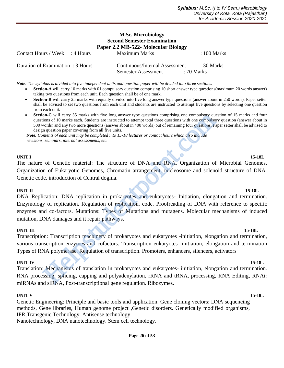### **M.Sc. Microbiology Second Semester Examination Paper 2.2 MB-522- Molecular Biology** Contact Hours / Week : 4 Hours Maximum Marks : 100 Marks

| Duration of Examination : 3 Hours | Continuous/Internal Assessment | $\pm 30$ Marks |
|-----------------------------------|--------------------------------|----------------|
|                                   | Semester Assessment            | : 70 Marks     |

*Note: The syllabus is divided into five independent units and question paper will be divided into three sections.*

- **Section-A** will carry 10 marks with 01 compulsory question comprising 10 short answer type questions(maximum 20 words answer) taking two questions from each unit. Each question shall be of one mark.
- **Section-B** will carry 25 marks with equally divided into five long answer type questions (answer about in 250 words). Paper setter shall be advised to set two questions from each unit and students are instructed to attempt five questions by selecting one question from each unit.
- **Section-C** will carry 35 marks with five long answer type questions comprising one compulsory question of 15 marks and four questions of 10 marks each. Students are instructed to attempt total three questions with one compulsory question (answer about in 500 words) and any two more questions (answer about in 400 words) out of remaining four questions. Paper setter shall be advised to design question paper covering from all five units.

 *Note: Contents of each unit may be completed into 15-18 lectures or contact hours which also include revisions, seminars, internal assessments, etc.*

### **UNIT I 15-18L**

The nature of Genetic material: The structure of DNA and RNA. Organization of Microbial Genomes, Organization of Eukaryotic Genomes, Chromatin arrangement, nucleosome and solenoid structure of DNA. Genetic code. introduction of Central dogma.

### **UNIT II 15-18**L

DNA Replication: DNA replication in prokaryotes and eukaryotes- Initiation, elongation and termination. Enzymology of replication. Regulation of replication. code. Proofreading of DNA with reference to specific enzymes and co-factors. Mutations: Types of Mutations and mutagens. Molecular mechanisms of induced mutation, DNA damages and it repair pathways. mo-C'will carry 35 marks with five long answer type questions comprising one compulsoions of 10 marks each. Students are instructed to attempt total three questions with one compulsor of 10 marks each. Students are instruc

### **UNIT III** 15-18L

Transcription: Transcription machinery of prokaryotes and eukaryotes -initiation, elongation and termination, various transcription enzymes and cofactors. Transcription eukaryotes -initiation, elongation and termination Types of RNA polymerase. Regulation of transcription. Promoters, enhancers, silencers, activators

### **UNIT IV 15-18L**

Translation: Mechanisms of translation in prokaryotes and eukaryotes- initiation, elongation and termination. RNA processing: splicing, capping and polyadenylation, rRNA and tRNA, processing, RNA Editing, RNAi: miRNAs and siRNA, Post-transcriptional gene regulation. Ribozymes.

### **UNIT V 15-18**L

Genetic Engineering: Principle and basic tools and application. Gene cloning vectors: DNA sequencing methods, Gene libraries, Human genome project ,Genetic disorders. Genetically modified organisms, IPR,Transgenic Technology. Antisense technology.

Nanotechnology, DNA nanotechnology. Stem cell technology.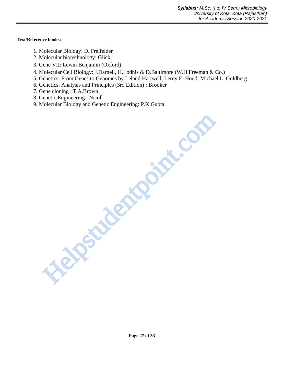**Text/Reference books:**

- 1. Molecular Biology: D. Freifelder
- 2. Molecular biotechnology: Glick.
- 3. Gene VII: Lewin Benjamin (Oxford)
- 4. Molecular Cell Biology: J.Darnell, H.Lodhis & D.Baltimore (W.H.Freeman & Co.)
- 5. Genetics: From Genes to Genomes by Leland Hartwell, Leroy E. Hood, Michael L. Goldberg
- 6. Genetics: Analysis and Principles (3rd Edition) : Brooker
- 7. Gene cloning : T.A.Brown
- 8. Genetic Engineering : Nicoll
- 9. Molecular Biology and Genetic Engineering: P.K.Gupta

Helpstudentpoint.com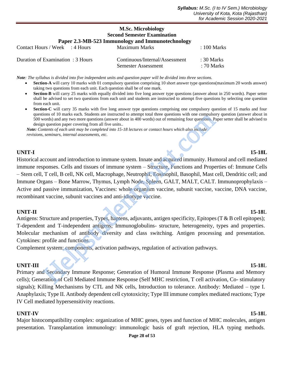# **M.Sc. Microbiology Second Semester Examination Paper 2.3-MB-523 Immunology and Immunotechnology** Contact Hours / Week : 4 Hours Maximum Marks : 100 Marks

| Duration of Examination : 3 Hours | Continuous/Internal/Assessment | $\div$ 30 Marks |
|-----------------------------------|--------------------------------|-----------------|
|                                   | Semester Assessment            | : 70 Marks      |

*Note: The syllabus is divided into five independent units and question paper will be divided into three sections.*

- **Section-A** will carry 10 marks with 01 compulsory question comprising 10 short answer type questions(maximum 20 words answer) taking two questions from each unit. Each question shall be of one mark.
- **Section-B** will carry 25 marks with equally divided into five long answer type questions (answer about in 250 words). Paper setter shall be advised to set two questions from each unit and students are instructed to attempt five questions by selecting one question from each unit.
- **Section-C** will carry 35 marks with five long answer type questions comprising one compulsory question of 15 marks and four questions of 10 marks each. Students are instructed to attempt total three questions with one compulsory question (answer about in 500 words) and any two more questions (answer about in 400 words) out of remaining four questions. Paper setter shall be advised to design question paper covering from all five units.*.*

 *Note: Contents of each unit may be completed into 15-18 lectures or contact hours which also include revisions, seminars, internal assessments, etc.*

# **UNIT-I 15-18L**

Historical account and introduction to immune system. Innate and acquired immunity. Humoral and cell mediated immune responses. Cells and tissues of immune system – Structure, Functions and Properties of: Immune Cells – Stem cell, T cell, B cell, NK cell, Macrophage, Neutrophil, Eosinophil, Basophil, Mast cell, Dendritic cell; and Immune Organs – Bone Marrow, Thymus, Lymph Node, Spleen, GALT, MALT, CALT. Immunoprophylaxis – Active and passive immunization, Vaccines: whole organism vaccine, subunit vaccine, vaccine, DNA vaccine, recombinant vaccine, subunit vaccines and anti-idiotype vaccine. nons or 10 marks each. Students are instructed to attenty toal three questions Number of the consumptions, Promation and The consumption and through the mainter of a metation pare covering from all five units.<br> *Seminars,* 

# **UNIT-II 15-18**L

Antigens: Structure and properties, Types, haptens, adjuvants, antigen specificity, Epitopes (T & B cell epitopes); T-dependent and T-independent antigens; Immunoglobulins- structure, heterogeneity, types and properties. Molecular mechanism of antibody diversity and class switching. Antigen processing and presentation. Cytokines: profile and functions.

Complement system: components, activation pathways, regulation of activation pathways.

# **UNIT-III 15-18**L

Primary and Secondary Immune Response; Generation of Humoral Immune Response (Plasma and Memory cells); Generation of Cell Mediated Immune Response (Self MHC restriction, T cell activation, Co- stimulatory signals); Killing Mechanisms by CTL and NK cells, Introduction to tolerance. Antibody: Mediated – type I. Anaphylaxis; Type II. Antibody dependent cell cytotoxicity; Type III immune complex mediated reactions; Type IV Cell mediated hypersensitivity reactions.

# **UNIT-IV 15-18**L

Major histocompatibility complex: organization of MHC genes, types and function of MHC molecules, antigen presentation. Transplantation immunology: immunologic basis of graft rejection, HLA typing methods.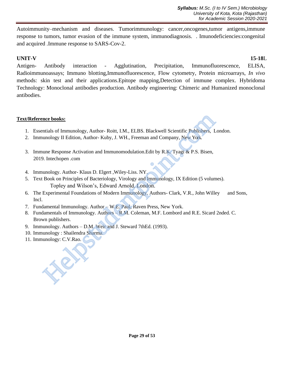Autoimmunity–mechanism and diseases. Tumorimmunology: cancer,oncogenes,tumor antigens,immune response to tumors, tumor evasion of the immune system, immunodiagnosis. . Imunodeficiencies:congenital and acquired .Immune response to SARS-Cov-2.

# **UNIT-V 15-18**L

Antigen- Antibody interaction - Agglutination, Precipitation, Immunofluorescence, ELISA, Radioimmunoassays; Immuno blotting,Immunofluorescence, Flow cytometry, Protein microarrays, *In vivo* methods: skin test and their applications.Epitope mapping,Detection of immune complex. Hybridoma Technology: Monoclonal antibodies production. Antibody engineering: Chimeric and Humanized monoclonal antibodies.

# **Text/Reference books:**

- 1. Essentials of Immunology, Author- Roitt, I.M., ELBS. Blackwell Scientific Publishers, London.
- 2. Immunology II Edition, Author- Kuby, J. WH., Freeman and Company, New York.
- 3. Immune Response Activation and Immunomodulation.Edit by R.K. Tyagi & P.S. Bisen, 2019. Intechopen .com
- 4. Immunology. Author- Klaus D. Elgert ,Wiley-Liss. NY.
- 5. Text Book on Principles of Bacteriology, Virology and Immunology, IX Edition (5 volumes). Topley and Wilson's, Edward Arnold, London. **nce books:**<br>
Industrials of Immunology, Author-Roitt, I.M., ELBS. Blackwell Scientific Publishers, I.<br>
Indology II Edition, Author-Kuby, J. WH., Freeman and Company, New York.<br>
Intechopen.com<br>
J. Intechopen.com<br>
Indology.
- 6. The Experimental Foundations of Modern Immunology. Authors- Clark, V.R., John Willey and Sons, Incl.
- 7. Fundamental Immunology. Author W.E. Paul, Raven Press, New York.
- 8. Fundamentals of Immunology. Authors R.M. Coleman, M.F. Lombord and R.E. Sicard 2nded. C. Brown publishers.
- 9. Immunology. Authors D.M. Weir and J. Steward 7thEd. (1993).
- 10. Immunology : Shailendra Sharma.
- 11. Immunology: C.V.Rao.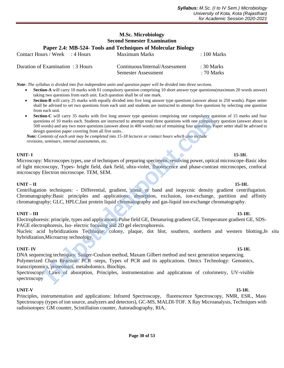# **M.Sc. Microbiology Second Semester Examination Paper 2.4: MB-524- Tools and Techniques of Molecular Biology** Contact Hours / Week : 4 Hours Maximum Marks : 100 Marks

| Duration of Examination : 3 Hours | Continuous/Internal/Assessment | $\pm 30$ Marks |
|-----------------------------------|--------------------------------|----------------|
|                                   | Semester Assessment            | : 70 Marks     |

*Note: The syllabus is divided into five independent units and question paper will be divided into three sections.*

- **Section-A** will carry 10 marks with 01 compulsory question comprising 10 short answer type questions(maximum 20 words answer) taking two questions from each unit. Each question shall be of one mark.
- **Section-B** will carry 25 marks with equally divided into five long answer type questions (answer about in 250 words). Paper setter shall be advised to set two questions from each unit and students are instructed to attempt five questions by selecting one question from each unit.
- **Section-C** will carry 35 marks with five long answer type questions comprising one compulsory question of 15 marks and four questions of 10 marks each. Students are instructed to attempt total three questions with one compulsory question (answer about in 500 words) and any two more questions (answer about in 400 words) out of remaining four questions. Paper setter shall be advised to design question paper covering from all five units.*.* mon-C will carry 35 marks with five long answer type questions comprising one compulsoions of 10 marks each. Students are instructed to attempt total three questions with one compulsor orions of 10 marks each. Students are

 *Note: Contents of each unit may be completed into 15-18 lectures or contact hours which also include revisions, seminars, internal assessments, etc.*

### **UNIT- I 15-18**L

Microscopy: Microscopes types, use of techniques of preparing specimens, resolving power, optical microscope-Basic idea of light microscopy, Types- bright field, dark field, ultra-violet, fluorescence and phase-contrast microscopes, confocal microscopy Electron microscope. TEM, SEM.

### **UNIT – II 15-18**L

Centrifugation techniques: - Differential, gradient, zonal or band and isopycnic density gradient centrifugation. Chromatography:Basic principles and applications: absorption, exclusion, ion-exchange, partition and affinity chromatography; GLC, HPLC,fast protein liquid chromatography and gas-liquid ion-exchange chromatography.

### **UNIT – III 15-18**L

Electrophoresis: principle, types and applications. Pulse field GE, Denaturing gradient GE, Temperature gradient GE, SDS-PAGE electrophoresis, Iso- electric focusing and 2D gel electrophoresis.

Nucleic acid hybridizations Technique: colony, plaque, dot blot, southern, northern and western blotting,*In situ* hybridization,Microarray technology.

### **UNIT- IV 15-18**L

DNA sequencing techniques: Sanger-Coulson method, Maxam Gilbert method and next generation sequencing. Polymerized Chain Reaction: PCR -steps, Types of PCR and its applications. Omics Technology: Genomics, transcriptomics, proteomics, metabolomics. Biochips.

Spectroscopy: Laws of absorption, Principles, instrumentation and applications of colorimetry, UV-visible spectroscopy

### **UNIT-V 15-18**L

Principles, instrumentation and applications: Infrared Spectroscopy, fluorescence Spectroscopy, NMR, ESR., Mass Spectroscopy (types of ion source, analyzers and detectors), GC-MS, MALDI-TOF. X Ray Microanalysis, Techniques with radioisotopes: GM counter, Scintillation counter, Autoradiography, RIA,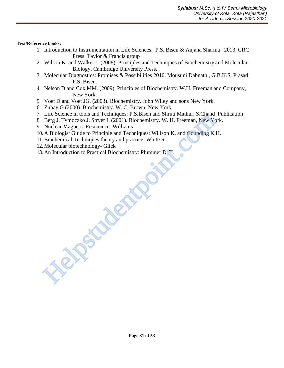**Text/Reference books:**

- 1. Introduction to Instrumentation in Life Sciences. P.S. Bisen & Anjana Sharma . 2013. CRC Press. Taylor & Francis group
- 2. Wilson K. and Walker J. (2008). Principles and Techniques of Biochemistry and Molecular Biology. Cambridge University Press.
- 3. Molecular Diagnostics: Promises & Possibilities 2010. Mousuni Dabnath , G.B.K.S. Prasad P.S. Bisen.
- 4. Nelson D and Cox MM. (2009). Principles of Biochemistry. W.H. Freeman and Company, New York.
- 5. Voet D and Voet JG. (2003). Biochemistry. John Wiley and sons New York.
- 6. Zubay G (2000). Biochemistry. W. C. Brown, New York.
- 7. Life Science in tools and Techniques: P.S.Bisen and Shruti Mathur, S.Chand Publication
- 8. Berg J, Tymoczko J, Stryer L (2001). Biochemistry. W. H. Freeman, New York.
- 9. Nuclear Magnetic Resonance: Williams
- 10. A Biologist Guide to Principle and Techniques: Willson K. and Gounding K.H.
- 11.Biochemical Techniques theory and practice: White R.
- 12. Molecular biotechnology- Glick
- 13. An Introduction to Practical Biochemistry: Plummer D. T. Helpstudentpoint.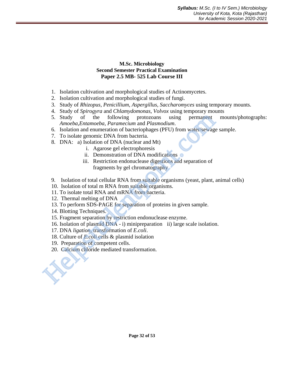### **M.Sc. Microbiology Second Semester Practical Examination Paper 2.5 MB- 525 Lab Course III**

- 1. Isolation cultivation and morphological studies of Actinomycetes.
- 2. Isolation cultivation and morphological studies of fungi.
- 3. Study of *Rhizopus*, *Penicillium*, *Aspergillus, Saccharomyces* using temporary mounts.
- 4. Study of *Spirogyra* and *Chlamydomonas, Volvox* using temporary mounts
- 5. Study of the following protozoans using permanent mounts/photographs: *Amoeba*,*Entamoeba*, *Paramecium* and *Plasmodium*. 5. Study of the following protozoans using permanent<br>
Amoeba, Entamecian and Plasmodium.<br>
6. Isolation and enumeration of bacteriophages (PFU) from water/sewage<br>
7. To isolate genomic DNA from bacteriophages (PFU) from wa
	- 6. Isolation and enumeration of bacteriophages (PFU) from water/sewage sample.
	- 7. To isolate genomic DNA from bacteria.
	- 8. DNA: a) Isolation of DNA (nuclear and Mt)
		- i. Agarose gel electrophoresis
		- ii. Demonstration of DNA modifications
		- iii. Restriction endonuclease digestions and separation of fragments by gel chromatography
	- 9. Isolation of total cellular RNA from suitable organisms (yeast, plant, animal cells)
	- 10. Isolation of total m RNA from suitable organisms.
	- 11. To isolate total RNA and mRNA from bacteria.
	- 12. Thermal melting of DNA
	- 13. To perform SDS-PAGE for separation of proteins in given sample.
	- 14. Blotting Techniques.
	- 15. Fragment separation by restriction endonuclease enzyme.
	- 16. Isolation of plasmid DNA i) minipreparation ii) large scale isolation.
	- 17. DNA *ligation*, transformation of *E.coli*.
	- 18. Culture of *E.coli* cells & plasmid isolation
	- 19. Preparation of competent cells.
	- 20. Calcium chloride mediated transformation.